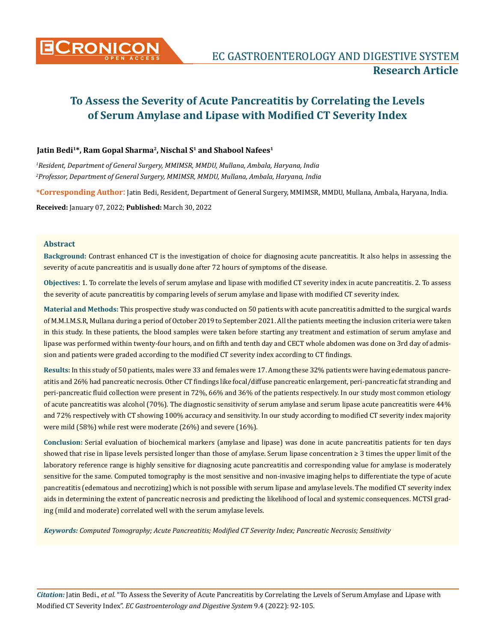

## **Jatin Bedi1\*, Ram Gopal Sharma2, Nischal S1 and Shabool Nafees1**

*1 Resident, Department of General Surgery, MMIMSR, MMDU, Mullana, Ambala, Haryana, India 2 Professor, Department of General Surgery, MMIMSR, MMDU, Mullana, Ambala, Haryana, India*

**\*Corresponding Author**: Jatin Bedi, Resident, Department of General Surgery, MMIMSR, MMDU, Mullana, Ambala, Haryana, India.

**Received:** January 07, 2022; **Published:** March 30, 2022

#### **Abstract**

**Background:** Contrast enhanced CT is the investigation of choice for diagnosing acute pancreatitis. It also helps in assessing the severity of acute pancreatitis and is usually done after 72 hours of symptoms of the disease.

**Objectives:** 1. To correlate the levels of serum amylase and lipase with modified CT severity index in acute pancreatitis. 2. To assess the severity of acute pancreatitis by comparing levels of serum amylase and lipase with modified CT severity index.

**Material and Methods:** This prospective study was conducted on 50 patients with acute pancreatitis admitted to the surgical wards of M.M.I.M.S.R, Mullana during a period of October 2019 to September 2021. All the patients meeting the inclusion criteria were taken in this study. In these patients, the blood samples were taken before starting any treatment and estimation of serum amylase and lipase was performed within twenty-four hours, and on fifth and tenth day and CECT whole abdomen was done on 3rd day of admission and patients were graded according to the modified CT severity index according to CT findings.

**Results:** In this study of 50 patients, males were 33 and females were 17. Among these 32% patients were having edematous pancreatitis and 26% had pancreatic necrosis. Other CT findings like focal/diffuse pancreatic enlargement, peri-pancreatic fat stranding and peri-pancreatic fluid collection were present in 72%, 66% and 36% of the patients respectively. In our study most common etiology of acute pancreatitis was alcohol (70%). The diagnostic sensitivity of serum amylase and serum lipase acute pancreatitis were 44% and 72% respectively with CT showing 100% accuracy and sensitivity. In our study according to modified CT severity index majority were mild (58%) while rest were moderate (26%) and severe (16%).

**Conclusion:** Serial evaluation of biochemical markers (amylase and lipase) was done in acute pancreatitis patients for ten days showed that rise in lipase levels persisted longer than those of amylase. Serum lipase concentration ≥ 3 times the upper limit of the laboratory reference range is highly sensitive for diagnosing acute pancreatitis and corresponding value for amylase is moderately sensitive for the same. Computed tomography is the most sensitive and non-invasive imaging helps to differentiate the type of acute pancreatitis (edematous and necrotizing) which is not possible with serum lipase and amylase levels. The modified CT severity index aids in determining the extent of pancreatic necrosis and predicting the likelihood of local and systemic consequences. MCTSI grading (mild and moderate) correlated well with the serum amylase levels.

*Keywords: Computed Tomography; Acute Pancreatitis; Modified CT Severity Index; Pancreatic Necrosis; Sensitivity*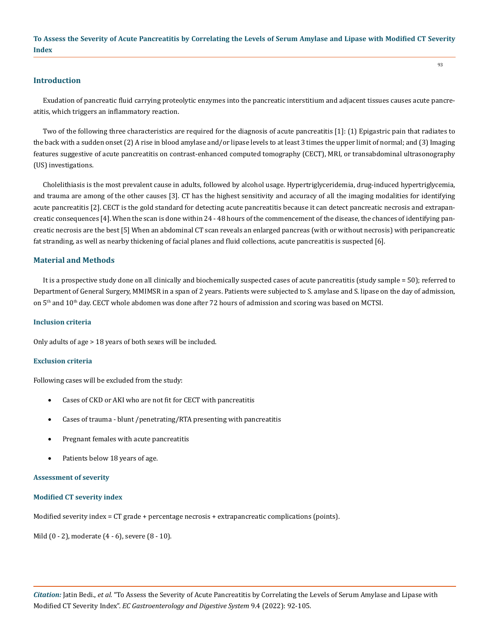#### **Introduction**

Exudation of pancreatic fluid carrying proteolytic enzymes into the pancreatic interstitium and adjacent tissues causes acute pancreatitis, which triggers an inflammatory reaction.

Two of the following three characteristics are required for the diagnosis of acute pancreatitis [1]: (1) Epigastric pain that radiates to the back with a sudden onset (2) A rise in blood amylase and/or lipase levels to at least 3 times the upper limit of normal; and (3) Imaging features suggestive of acute pancreatitis on contrast-enhanced computed tomography (CECT), MRI, or transabdominal ultrasonography (US) investigations.

Cholelithiasis is the most prevalent cause in adults, followed by alcohol usage. Hypertriglyceridemia, drug-induced hypertriglycemia, and trauma are among of the other causes [3]. CT has the highest sensitivity and accuracy of all the imaging modalities for identifying acute pancreatitis [2]. CECT is the gold standard for detecting acute pancreatitis because it can detect pancreatic necrosis and extrapancreatic consequences [4]. When the scan is done within 24 - 48 hours of the commencement of the disease, the chances of identifying pancreatic necrosis are the best [5] When an abdominal CT scan reveals an enlarged pancreas (with or without necrosis) with peripancreatic fat stranding, as well as nearby thickening of facial planes and fluid collections, acute pancreatitis is suspected [6].

#### **Material and Methods**

It is a prospective study done on all clinically and biochemically suspected cases of acute pancreatitis (study sample = 50); referred to Department of General Surgery, MMIMSR in a span of 2 years. Patients were subjected to S. amylase and S. lipase on the day of admission, on 5<sup>th</sup> and 10<sup>th</sup> day. CECT whole abdomen was done after 72 hours of admission and scoring was based on MCTSI.

#### **Inclusion criteria**

Only adults of age > 18 years of both sexes will be included.

#### **Exclusion criteria**

Following cases will be excluded from the study:

- Cases of CKD or AKI who are not fit for CECT with pancreatitis
- Cases of trauma blunt /penetrating/RTA presenting with pancreatitis
- Pregnant females with acute pancreatitis
- Patients below 18 years of age.

#### **Assessment of severity**

#### **Modified CT severity index**

Modified severity index = CT grade + percentage necrosis + extrapancreatic complications (points).

Mild (0 - 2), moderate (4 - 6), severe (8 - 10).

93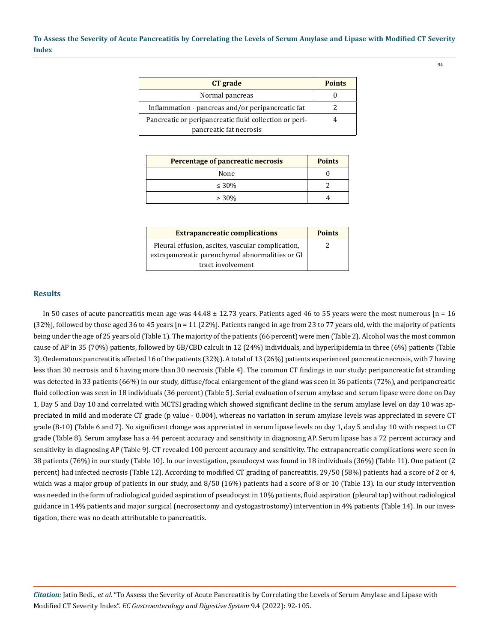| CT grade                                               | <b>Points</b> |
|--------------------------------------------------------|---------------|
| Normal pancreas                                        |               |
| Inflammation - pancreas and/or peripancreatic fat      |               |
| Pancreatic or peripancreatic fluid collection or peri- |               |
| pancreatic fat necrosis                                |               |

| Percentage of pancreatic necrosis | <b>Points</b> |
|-----------------------------------|---------------|
| None                              |               |
| $\leq 30\%$                       |               |
| $> 30\%$                          |               |

| <b>Extrapancreatic complications</b>              | <b>Points</b> |
|---------------------------------------------------|---------------|
| Pleural effusion, ascites, vascular complication, |               |
| extrapancreatic parenchymal abnormalities or GI   |               |
| tract involvement                                 |               |

## **Results**

In 50 cases of acute pancreatitis mean age was  $44.48 \pm 12.73$  years. Patients aged 46 to 55 years were the most numerous  $[n = 16]$  $(32\%)$ , followed by those aged 36 to 45 years  $[n = 11]$   $(22\%)$ . Patients ranged in age from 23 to 77 years old, with the majority of patients being under the age of 25 years old (Table 1). The majority of the patients (66 percent) were men (Table 2). Alcohol was the most common cause of AP in 35 (70%) patients, followed by GB/CBD calculi in 12 (24%) individuals, and hyperlipidemia in three (6%) patients (Table 3). Oedematous pancreatitis affected 16 of the patients (32%). A total of 13 (26%) patients experienced pancreatic necrosis, with 7 having less than 30 necrosis and 6 having more than 30 necrosis (Table 4). The common CT findings in our study: peripancreatic fat stranding was detected in 33 patients (66%) in our study, diffuse/focal enlargement of the gland was seen in 36 patients (72%), and peripancreatic fluid collection was seen in 18 individuals (36 percent) (Table 5). Serial evaluation of serum amylase and serum lipase were done on Day 1, Day 5 and Day 10 and correlated with MCTSI grading which showed significant decline in the serum amylase level on day 10 was appreciated in mild and moderate CT grade (p value - 0.004), whereas no variation in serum amylase levels was appreciated in severe CT grade (8-10) (Table 6 and 7). No significant change was appreciated in serum lipase levels on day 1, day 5 and day 10 with respect to CT grade (Table 8). Serum amylase has a 44 percent accuracy and sensitivity in diagnosing AP. Serum lipase has a 72 percent accuracy and sensitivity in diagnosing AP (Table 9). CT revealed 100 percent accuracy and sensitivity. The extrapancreatic complications were seen in 38 patients (76%) in our study (Table 10). In our investigation, pseudocyst was found in 18 individuals (36%) (Table 11). One patient (2 percent) had infected necrosis (Table 12). According to modified CT grading of pancreatitis, 29/50 (58%) patients had a score of 2 or 4, which was a major group of patients in our study, and 8/50 (16%) patients had a score of 8 or 10 (Table 13). In our study intervention was needed in the form of radiological guided aspiration of pseudocyst in 10% patients, fluid aspiration (pleural tap) without radiological guidance in 14% patients and major surgical (necrosectomy and cystogastrostomy) intervention in 4% patients (Table 14). In our investigation, there was no death attributable to pancreatitis.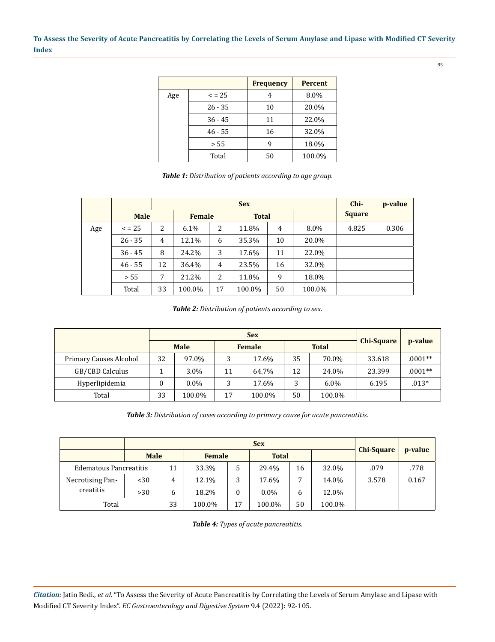|     |             | <b>Frequency</b> | <b>Percent</b> |
|-----|-------------|------------------|----------------|
| Age | $\leq$ = 25 | 4                | 8.0%           |
|     | $26 - 35$   | 10               | 20.0%          |
|     | $36 - 45$   | 11               | 22.0%          |
|     | $46 - 55$   | 16               | 32.0%          |
|     | > 55        | 9                | 18.0%          |
|     | Total       | 50               | 100.0%         |

*Table 1: Distribution of patients according to age group.*

|     |             |    |        | $Chi-$        | p-value |              |         |               |       |
|-----|-------------|----|--------|---------------|---------|--------------|---------|---------------|-------|
|     | <b>Male</b> |    |        | <b>Female</b> |         | <b>Total</b> |         | <b>Square</b> |       |
| Age | $\leq$ = 25 | 2  | 6.1%   | 2             | 11.8%   | 4            | $8.0\%$ | 4.825         | 0.306 |
|     | $26 - 35$   | 4  | 12.1%  | 6             | 35.3%   | 10           | 20.0%   |               |       |
|     | $36 - 45$   | 8  | 24.2%  | 3             | 17.6%   | 11           | 22.0%   |               |       |
|     | $46 - 55$   | 12 | 36.4%  | 4             | 23.5%   | 16           | 32.0%   |               |       |
|     | > 55        | 7  | 21.2%  | 2             | 11.8%   | 9            | 18.0%   |               |       |
|     | Total       | 33 | 100.0% | 17            | 100.0%  | 50           | 100.0%  |               |       |

*Table 2: Distribution of patients according to sex.*

|                        |    |             |                               | <b>Sex</b> |    |                   |         |           |
|------------------------|----|-------------|-------------------------------|------------|----|-------------------|---------|-----------|
|                        |    | <b>Male</b> | <b>Total</b><br><b>Female</b> |            |    | <b>Chi-Square</b> | p-value |           |
| Primary Causes Alcohol | 32 | 97.0%       | 3                             | 17.6%      | 35 | 70.0%             | 33.618  | $.0001**$ |
| GB/CBD Calculus        |    | 3.0%        | 11                            | 64.7%      | 12 | 24.0%             | 23.399  | $.0001**$ |
| Hyperlipidemia         |    | $0.0\%$     | 3                             | 17.6%      |    | $6.0\%$           | 6.195   | $.013*$   |
| Total                  | 33 | 100.0%      | 17                            | 100.0%     | 50 | 100.0%            |         |           |

*Table 3: Distribution of cases according to primary cause for acute pancreatitis.*

|                               | <b>Male</b> |    | Female<br><b>Total</b> |          |         | <b>Chi-Square</b> | p-value |       |       |
|-------------------------------|-------------|----|------------------------|----------|---------|-------------------|---------|-------|-------|
| <b>Edematous Pancreatitis</b> |             | 11 | 33.3%                  | 5        | 29.4%   | 16                | 32.0%   | .079  | .778  |
| Necrotising Pan-              | $30$        | 4  | 12.1%                  | 3        | 17.6%   | ⇁                 | 14.0%   | 3.578 | 0.167 |
| creatitis                     | >30         | b  | 18.2%                  | $\bf{0}$ | $0.0\%$ | 6                 | 12.0%   |       |       |
| Total                         |             | 33 | 100.0%                 | 17       | 100.0%  | 50                | 100.0%  |       |       |

*Table 4: Types of acute pancreatitis.*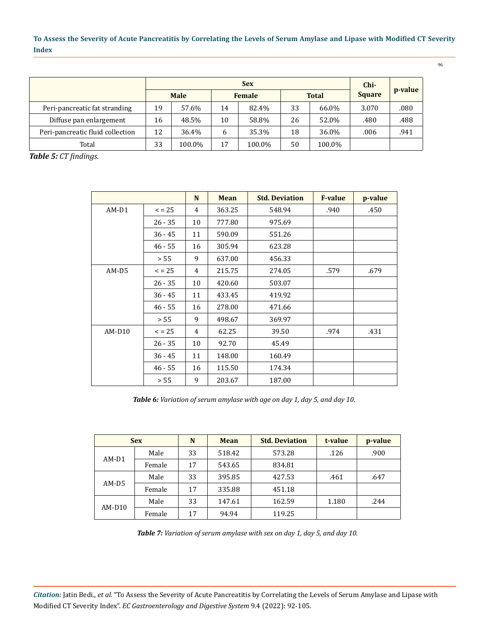| <b>Sex</b>                       |    |             |              |               |    |              | Chi-          |         |
|----------------------------------|----|-------------|--------------|---------------|----|--------------|---------------|---------|
|                                  |    | <b>Male</b> |              | <b>Female</b> |    | <b>Total</b> | <b>Square</b> | p-value |
| Peri-pancreatic fat stranding    | 19 | 57.6%       | 14           | 82.4%         | 33 | 66.0%        | 3.070         | .080    |
| Diffuse pan enlargement          | 16 | 48.5%       | 10           | 58.8%         | 26 | 52.0%        | .480          | .488    |
| Peri-pancreatic fluid collection | 12 | 36.4%       | <sub>b</sub> | 35.3%         | 18 | 36.0%        | .006          | .941    |
| Total                            | 33 | 100.0%      | 17           | 100.0%        | 50 | 100.0%       |               |         |

*Table 5: CT findings.*

|          |             | N  | Mean   | <b>Std. Deviation</b> | <b>F-value</b> | p-value |
|----------|-------------|----|--------|-----------------------|----------------|---------|
| $AM-D1$  | $\leq$ = 25 | 4  | 363.25 | 548.94                | .940           | .450    |
|          | $26 - 35$   | 10 | 777.80 | 975.69                |                |         |
|          | $36 - 45$   | 11 | 590.09 | 551.26                |                |         |
|          | $46 - 55$   | 16 | 305.94 | 623.28                |                |         |
|          | > 55        | 9  | 637.00 | 456.33                |                |         |
| AM-D5    | $\leq$ = 25 | 4  | 215.75 | 274.05                | .579           | .679    |
|          | $26 - 35$   | 10 | 420.60 | 503.07                |                |         |
|          | $36 - 45$   | 11 | 433.45 | 419.92                |                |         |
|          | $46 - 55$   | 16 | 278.00 | 471.66                |                |         |
|          | > 55        | 9  | 498.67 | 369.97                |                |         |
| $AM-D10$ | $\leq$ = 25 | 4  | 62.25  | 39.50                 | .974           | .431    |
|          | $26 - 35$   | 10 | 92.70  | 45.49                 |                |         |
|          | $36 - 45$   | 11 | 148.00 | 160.49                |                |         |
|          | $46 - 55$   | 16 | 115.50 | 174.34                |                |         |
|          | > 55        | 9  | 203.67 | 187.00                |                |         |

*Table 6: Variation of serum amylase with age on day 1, day 5, and day 10.*

| <b>Sex</b> |        | N  | Mean   | <b>Std. Deviation</b> | t-value | p-value |
|------------|--------|----|--------|-----------------------|---------|---------|
|            | Male   | 33 | 518.42 | 573.28                | .126    | .900    |
| $AM-D1$    | Female | 17 | 543.65 | 834.81                |         |         |
|            | Male   | 33 | 395.85 | 427.53                | .461    | .647    |
| $AM-D5$    | Female | 17 | 335.88 | 451.18                |         |         |
|            | Male   | 33 | 147.61 | 162.59                | 1.180   | .244    |
| AM-D10     | Female | 17 | 94.94  | 119.25                |         |         |

*Table 7: Variation of serum amylase with sex on day 1, day 5, and day 10.*

*Citation:* Jatin Bedi., *et al.* "To Assess the Severity of Acute Pancreatitis by Correlating the Levels of Serum Amylase and Lipase with Modified CT Severity Index". *EC Gastroenterology and Digestive System* 9.4 (2022): 92-105.

96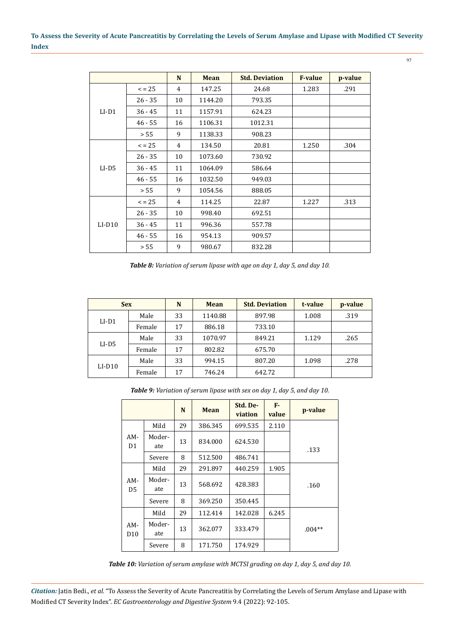|          |             | N  |             | <b>Std. Deviation</b> | <b>F-value</b> |         |
|----------|-------------|----|-------------|-----------------------|----------------|---------|
|          |             |    | <b>Mean</b> |                       |                | p-value |
|          | $\leq$ = 25 | 4  | 147.25      | 24.68                 | 1.283          | .291    |
|          | $26 - 35$   | 10 | 1144.20     | 793.35                |                |         |
| $LI-D1$  | $36 - 45$   | 11 | 1157.91     | 624.23                |                |         |
|          | $46 - 55$   | 16 | 1106.31     | 1012.31               |                |         |
|          | > 55        | 9  | 1138.33     | 908.23                |                |         |
|          | $\le$ = 25  | 4  | 134.50      | 20.81                 | 1.250          | .304    |
|          | $26 - 35$   | 10 | 1073.60     | 730.92                |                |         |
| $LI-D5$  | $36 - 45$   | 11 | 1064.09     | 586.64                |                |         |
|          | $46 - 55$   | 16 | 1032.50     | 949.03                |                |         |
|          | > 55        | 9  | 1054.56     | 888.05                |                |         |
|          | $\leq$ = 25 | 4  | 114.25      | 22.87                 | 1.227          | .313    |
|          | $26 - 35$   | 10 | 998.40      | 692.51                |                |         |
| $LI-D10$ | $36 - 45$   | 11 | 996.36      | 557.78                |                |         |
|          | $46 - 55$   | 16 | 954.13      | 909.57                |                |         |
|          | > 55        | 9  | 980.67      | 832.28                |                |         |

*Table 8: Variation of serum lipase with age on day 1, day 5, and day 10.*

| <b>Sex</b> |        | N  | Mean    | <b>Std. Deviation</b> | t-value | p-value |
|------------|--------|----|---------|-----------------------|---------|---------|
| $LI-D1$    | Male   | 33 | 1140.88 | 897.98                | 1.008   | .319    |
|            | Female | 17 | 886.18  | 733.10                |         |         |
|            | Male   | 33 | 1070.97 | 849.21                | 1.129   | .265    |
| $LI-D5$    | Female | 17 | 802.82  | 675.70                |         |         |
|            | Male   | 33 | 994.15  | 807.20                | 1.098   | .278    |
| $LI-D10$   | Female | 17 | 746.24  | 642.72                |         |         |

*Table 9: Variation of serum lipase with sex on day 1, day 5, and day 10.*

|                        |               | N  | <b>Mean</b> | Std. De-<br>viation | $F -$<br>value | p-value  |
|------------------------|---------------|----|-------------|---------------------|----------------|----------|
| AM-<br>D1              | Mild          | 29 | 386.345     | 699.535             | 2.110          |          |
|                        | Moder-<br>ate | 13 | 834.000     | 624.530             |                | .133     |
|                        | Severe        | 8  | 512.500     | 486.741             |                |          |
| AM-<br>D5              | Mild          | 29 | 291.897     | 440.259             | 1.905          |          |
|                        | Moder-<br>ate | 13 | 568.692     | 428.383             |                | .160     |
|                        | Severe        | 8  | 369.250     | 350.445             |                |          |
|                        | Mild          | 29 | 112.414     | 142.028             | 6.245          |          |
| AM-<br>D <sub>10</sub> | Moder-<br>ate | 13 | 362.077     | 333.479             |                | $.004**$ |
|                        | Severe        | 8  | 171.750     | 174.929             |                |          |

*Table 10: Variation of serum amylase with MCTSI grading on day 1, day 5, and day 10.*

*Citation:* Jatin Bedi., *et al.* "To Assess the Severity of Acute Pancreatitis by Correlating the Levels of Serum Amylase and Lipase with Modified CT Severity Index". *EC Gastroenterology and Digestive System* 9.4 (2022): 92-105.

97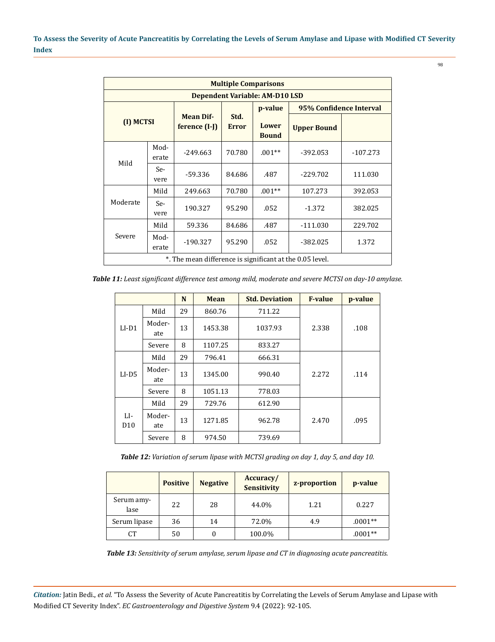| <b>Multiple Comparisons</b> |                                |                                                          |                      |                       |                    |                         |  |
|-----------------------------|--------------------------------|----------------------------------------------------------|----------------------|-----------------------|--------------------|-------------------------|--|
|                             | Dependent Variable: AM-D10 LSD |                                                          |                      |                       |                    |                         |  |
|                             |                                |                                                          |                      | p-value               |                    | 95% Confidence Interval |  |
| (I) MCTSI                   |                                | <b>Mean Dif-</b><br>ference (I-J)                        | Std.<br><b>Error</b> | Lower<br><b>Bound</b> | <b>Upper Bound</b> |                         |  |
| Mild                        | Mod-<br>erate                  | $-249.663$                                               | 70.780               | $.001**$              | $-392.053$         | $-107.273$              |  |
|                             | Se-<br>vere                    | -59.336                                                  | 84.686               | .487                  | $-229.702$         | 111.030                 |  |
|                             | Mild                           | 249.663                                                  | 70.780               | $.001**$              | 107.273            | 392.053                 |  |
| Moderate                    | Se-<br>vere                    | 190.327                                                  | 95.290               | .052                  | $-1.372$           | 382.025                 |  |
|                             | Mild                           | 59.336                                                   | 84.686               | .487                  | $-111.030$         | 229.702                 |  |
| Severe                      | Mod-<br>erate                  | $-190.327$                                               | 95.290               | .052                  | $-382.025$         | 1.372                   |  |
|                             |                                | *. The mean difference is significant at the 0.05 level. |                      |                       |                    |                         |  |

*Table 11: Least significant difference test among mild, moderate and severe MCTSI on day-10 amylase.*

|                        |               | N  | Mean    | <b>Std. Deviation</b> | <b>F-value</b> | p-value |
|------------------------|---------------|----|---------|-----------------------|----------------|---------|
|                        | Mild          | 29 | 860.76  | 711.22                |                |         |
| $LI-D1$                | Moder-<br>ate | 13 | 1453.38 | 1037.93               | 2.338          | .108    |
|                        | Severe        | 8  | 1107.25 | 833.27                |                |         |
|                        | Mild          | 29 | 796.41  | 666.31                |                |         |
| $LI$ -D5               | Moder-<br>ate | 13 | 1345.00 | 990.40                | 2.272          | .114    |
|                        | Severe        | 8  | 1051.13 | 778.03                |                |         |
| LI-<br>D <sub>10</sub> | Mild          | 29 | 729.76  | 612.90                |                |         |
|                        | Moder-<br>ate | 13 | 1271.85 | 962.78                | 2.470          | .095    |
|                        | Severe        | 8  | 974.50  | 739.69                |                |         |

*Table 12: Variation of serum lipase with MCTSI grading on day 1, day 5, and day 10.*

|                    | <b>Positive</b> | <b>Negative</b> | Accuracy/<br><b>Sensitivity</b> | z-proportion | p-value   |
|--------------------|-----------------|-----------------|---------------------------------|--------------|-----------|
| Serum amy-<br>lase | 22              | 28              | 44.0%                           | 1.21         | 0.227     |
| Serum lipase       | 36              | 14              | 72.0%                           | 4.9          | $.0001**$ |
| СT                 | 50              | 0               | 100.0%                          |              | $.0001**$ |

*Table 13: Sensitivity of serum amylase, serum lipase and CT in diagnosing acute pancreatitis.*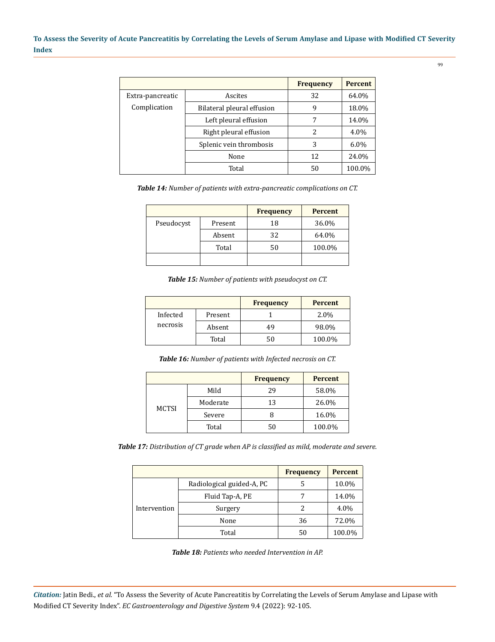|                  |                              | <b>Frequency</b> | <b>Percent</b> |
|------------------|------------------------------|------------------|----------------|
| Extra-pancreatic | Ascites                      | 32               | 64.0%          |
| Complication     | Bilateral pleural effusion   |                  | 18.0%          |
|                  | Left pleural effusion        |                  | 14.0%          |
|                  | Right pleural effusion       | 2                | 4.0%           |
|                  | Splenic vein thrombosis<br>3 |                  | $6.0\%$        |
|                  | None                         | 12               | 24.0%          |
|                  | Total                        | 50               | 100.0%         |

*Table 14: Number of patients with extra-pancreatic complications on CT.*

|            |         | <b>Frequency</b> | <b>Percent</b> |
|------------|---------|------------------|----------------|
| Pseudocyst | Present | 18               | 36.0%          |
|            | Absent  | 32               | 64.0%          |
|            | Total   | 50               | 100.0%         |
|            |         |                  |                |

*Table 15: Number of patients with pseudocyst on CT.*

|          |         | <b>Frequency</b> | <b>Percent</b> |
|----------|---------|------------------|----------------|
| Infected | Present |                  | 2.0%           |
| necrosis | Absent  | 49               | 98.0%          |
|          | Total   |                  | 100.0%         |

*Table 16: Number of patients with Infected necrosis on CT.*

|              |          | <b>Frequency</b> | <b>Percent</b> |
|--------------|----------|------------------|----------------|
|              | Mild     | 29               | 58.0%          |
|              | Moderate | 13               | 26.0%          |
| <b>MCTSI</b> | Severe   |                  | 16.0%          |
|              | Total    | 50               | 100.0%         |

*Table 17: Distribution of CT grade when AP is classified as mild, moderate and severe.*

|              |                           | <b>Frequency</b> | <b>Percent</b> |
|--------------|---------------------------|------------------|----------------|
|              | Radiological guided-A, PC |                  | 10.0%          |
| Intervention | Fluid Tap-A, PE           |                  | 14.0%          |
|              | Surgery                   |                  | 4.0%           |
|              | None                      | 36               | 72.0%          |
|              | Total                     | 50               | 100.0%         |

*Table 18: Patients who needed Intervention in AP.*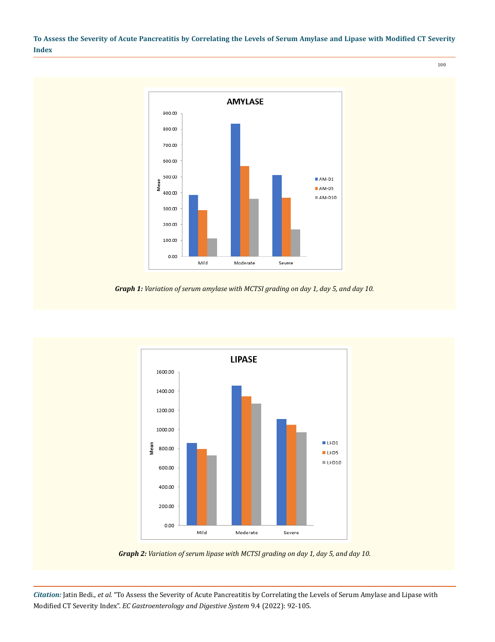100



*Graph 1: Variation of serum amylase with MCTSI grading on day 1, day 5, and day 10.*



*Graph 2: Variation of serum lipase with MCTSI grading on day 1, day 5, and day 10.*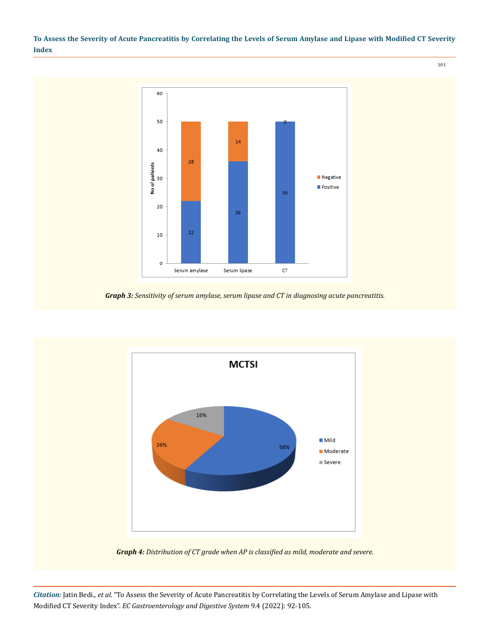101



*Graph 3: Sensitivity of serum amylase, serum lipase and CT in diagnosing acute pancreatitis.*



*Graph 4: Distribution of CT grade when AP is classified as mild, moderate and severe.*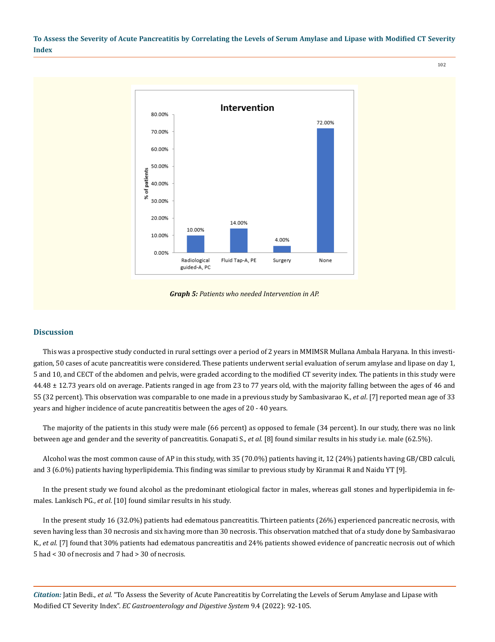102



*Graph 5: Patients who needed Intervention in AP.*

#### **Discussion**

This was a prospective study conducted in rural settings over a period of 2 years in MMIMSR Mullana Ambala Haryana. In this investigation, 50 cases of acute pancreatitis were considered. These patients underwent serial evaluation of serum amylase and lipase on day 1, 5 and 10, and CECT of the abdomen and pelvis, were graded according to the modified CT severity index. The patients in this study were 44.48 ± 12.73 years old on average. Patients ranged in age from 23 to 77 years old, with the majority falling between the ages of 46 and 55 (32 percent). This observation was comparable to one made in a previous study by Sambasivarao K., *et al*. [7] reported mean age of 33 years and higher incidence of acute pancreatitis between the ages of 20 - 40 years.

The majority of the patients in this study were male (66 percent) as opposed to female (34 percent). In our study, there was no link between age and gender and the severity of pancreatitis. Gonapati S., *et al*. [8] found similar results in his study i.e. male (62.5%).

Alcohol was the most common cause of AP in this study, with 35 (70.0%) patients having it, 12 (24%) patients having GB/CBD calculi, and 3 (6.0%) patients having hyperlipidemia. This finding was similar to previous study by Kiranmai R and Naidu YT [9].

In the present study we found alcohol as the predominant etiological factor in males, whereas gall stones and hyperlipidemia in females. Lankisch PG., *et al*. [10] found similar results in his study.

In the present study 16 (32.0%) patients had edematous pancreatitis. Thirteen patients (26%) experienced pancreatic necrosis, with seven having less than 30 necrosis and six having more than 30 necrosis. This observation matched that of a study done by Sambasivarao K., *et al*. [7] found that 30% patients had edematous pancreatitis and 24% patients showed evidence of pancreatic necrosis out of which 5 had < 30 of necrosis and 7 had > 30 of necrosis.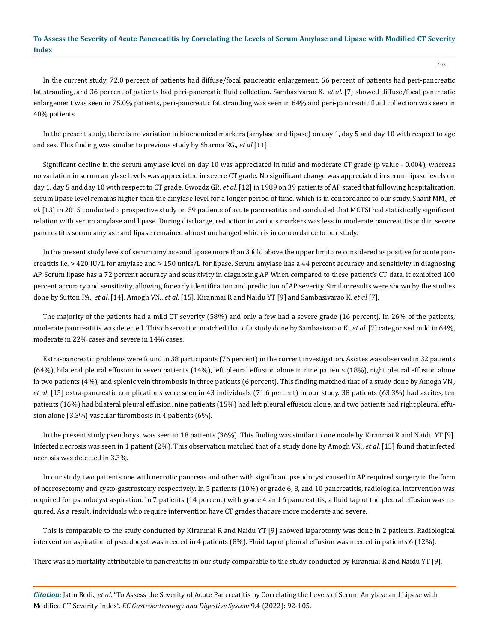103

In the current study, 72.0 percent of patients had diffuse/focal pancreatic enlargement, 66 percent of patients had peri-pancreatic fat stranding, and 36 percent of patients had peri-pancreatic fluid collection. Sambasivarao K., *et al*. [7] showed diffuse/focal pancreatic enlargement was seen in 75.0% patients, peri-pancreatic fat stranding was seen in 64% and peri-pancreatic fluid collection was seen in 40% patients.

In the present study, there is no variation in biochemical markers (amylase and lipase) on day 1, day 5 and day 10 with respect to age and sex. This finding was similar to previous study by Sharma RG., *et al* [11].

Significant decline in the serum amylase level on day 10 was appreciated in mild and moderate CT grade (p value - 0.004), whereas no variation in serum amylase levels was appreciated in severe CT grade. No significant change was appreciated in serum lipase levels on day 1, day 5 and day 10 with respect to CT grade. Gwozdz GP., *et al*. [12] in 1989 on 39 patients of AP stated that following hospitalization, serum lipase level remains higher than the amylase level for a longer period of time. which is in concordance to our study. Sharif MM., *et al*. [13] in 2015 conducted a prospective study on 59 patients of acute pancreatitis and concluded that MCTSI had statistically significant relation with serum amylase and lipase. During discharge, reduction in various markers was less in moderate pancreatitis and in severe pancreatitis serum amylase and lipase remained almost unchanged which is in concordance to our study.

In the present study levels of serum amylase and lipase more than 3 fold above the upper limit are considered as positive for acute pancreatitis i.e. > 420 IU/L for amylase and > 150 units/L for lipase. Serum amylase has a 44 percent accuracy and sensitivity in diagnosing AP. Serum lipase has a 72 percent accuracy and sensitivity in diagnosing AP. When compared to these patient's CT data, it exhibited 100 percent accuracy and sensitivity, allowing for early identification and prediction of AP severity. Similar results were shown by the studies done by Sutton PA., *et al*. [14], Amogh VN., *et al*. [15], Kiranmai R and Naidu YT [9] and Sambasivarao K, *et al* [7].

The majority of the patients had a mild CT severity (58%) and only a few had a severe grade (16 percent). In 26% of the patients, moderate pancreatitis was detected. This observation matched that of a study done by Sambasivarao K., *et al*. [7] categorised mild in 64%, moderate in 22% cases and severe in 14% cases.

Extra-pancreatic problems were found in 38 participants (76 percent) in the current investigation. Ascites was observed in 32 patients (64%), bilateral pleural effusion in seven patients (14%), left pleural effusion alone in nine patients (18%), right pleural effusion alone in two patients (4%), and splenic vein thrombosis in three patients (6 percent). This finding matched that of a study done by Amogh VN., *et al*. [15] extra-pancreatic complications were seen in 43 individuals (71.6 percent) in our study. 38 patients (63.3%) had ascites, ten patients (16%) had bilateral pleural effusion, nine patients (15%) had left pleural effusion alone, and two patients had right pleural effusion alone (3.3%) vascular thrombosis in 4 patients (6%).

In the present study pseudocyst was seen in 18 patients (36%). This finding was similar to one made by Kiranmai R and Naidu YT [9]. Infected necrosis was seen in 1 patient (2%). This observation matched that of a study done by Amogh VN., *et al*. [15] found that infected necrosis was detected in 3.3%.

In our study, two patients one with necrotic pancreas and other with significant pseudocyst caused to AP required surgery in the form of necrosectomy and cysto-gastrostomy respectively. In 5 patients (10%) of grade 6, 8, and 10 pancreatitis, radiological intervention was required for pseudocyst aspiration. In 7 patients (14 percent) with grade 4 and 6 pancreatitis, a fluid tap of the pleural effusion was required. As a result, individuals who require intervention have CT grades that are more moderate and severe.

This is comparable to the study conducted by Kiranmai R and Naidu YT [9] showed laparotomy was done in 2 patients. Radiological intervention aspiration of pseudocyst was needed in 4 patients (8%). Fluid tap of pleural effusion was needed in patients 6 (12%).

There was no mortality attributable to pancreatitis in our study comparable to the study conducted by Kiranmai R and Naidu YT [9].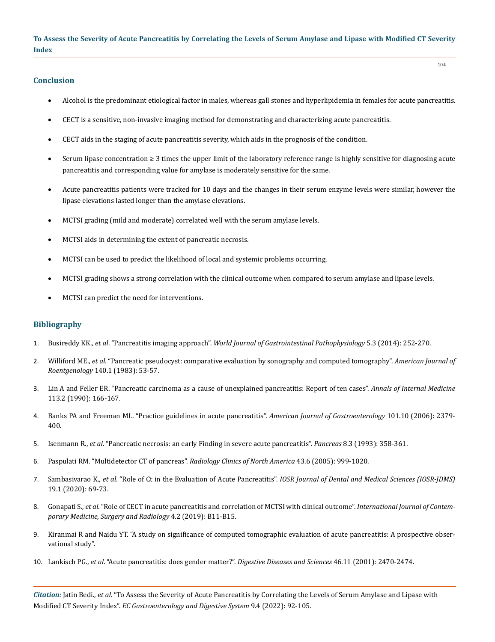### **Conclusion**

Alcohol is the predominant etiological factor in males, whereas gall stones and hyperlipidemia in females for acute pancreatitis.

104

- • CECT is a sensitive, non-invasive imaging method for demonstrating and characterizing acute pancreatitis.
- • CECT aids in the staging of acute pancreatitis severity, which aids in the prognosis of the condition.
- • Serum lipase concentration ≥ 3 times the upper limit of the laboratory reference range is highly sensitive for diagnosing acute pancreatitis and corresponding value for amylase is moderately sensitive for the same.
- • Acute pancreatitis patients were tracked for 10 days and the changes in their serum enzyme levels were similar, however the lipase elevations lasted longer than the amylase elevations.
- • MCTSI grading (mild and moderate) correlated well with the serum amylase levels.
- MCTSI aids in determining the extent of pancreatic necrosis.
- • MCTSI can be used to predict the likelihood of local and systemic problems occurring.
- • MCTSI grading shows a strong correlation with the clinical outcome when compared to serum amylase and lipase levels.
- MCTSI can predict the need for interventions.

## **Bibliography**

- 1. Busireddy KK., *et al*. "Pancreatitis imaging approach". *[World Journal of Gastrointestinal Pathophysiology](https://pubmed.ncbi.nlm.nih.gov/25133027/)* 5.3 (2014): 252-270.
- 2. Williford ME., *et al*[. "Pancreatic pseudocyst: comparative evaluation by sonography and computed tomography".](https://pubmed.ncbi.nlm.nih.gov/6600325/) *American Journal of Roentgenology* [140.1 \(1983\): 53-57.](https://pubmed.ncbi.nlm.nih.gov/6600325/)
- 3. [Lin A and Feller ER. "Pancreatic carcinoma as a cause of unexplained pancreatitis: Report of ten cases".](https://pubmed.ncbi.nlm.nih.gov/1694415/) *Annals of Internal Medicine*  [113.2 \(1990\): 166-167.](https://pubmed.ncbi.nlm.nih.gov/1694415/)
- 4. [Banks PA and Freeman ML. "Practice guidelines in acute pancreatitis".](https://pubmed.ncbi.nlm.nih.gov/17032204/) *American Journal of Gastroenterology* 101.10 (2006): 2379- [400.](https://pubmed.ncbi.nlm.nih.gov/17032204/)
- 5. Isenmann R., *et al*[. "Pancreatic necrosis: an early Finding in severe acute pancreatitis".](https://pubmed.ncbi.nlm.nih.gov/8483878/) *Pancreas* 8.3 (1993): 358-361.
- 6. [Paspulati RM. "Multidetector CT of pancreas".](https://pubmed.ncbi.nlm.nih.gov/16253659/) *Radiology Clinics of North America* 43.6 (2005): 999-1020.
- 7. Sambasivarao K., *et al*. "Role of Ct in the Evaluation of Acute Pancreatitis". *[IOSR Journal of Dental and Medical Sciences \(IOSR-JDMS\)](https://www.iosrjournals.org/iosr-jdms/papers/Vol19-issue1/Series-18/K1901186973.pdf)* [19.1 \(2020\): 69-73.](https://www.iosrjournals.org/iosr-jdms/papers/Vol19-issue1/Series-18/K1901186973.pdf)
- 8. Gonapati S., *et al*[. "Role of CECT in acute pancreatitis and correlation of MCTSI with clinical outcome".](https://www.ijcmsr.com/uploads/1/0/2/7/102704056/ijcmsr_219__.pdf) *International Journal of Contem[porary Medicine, Surgery and Radiology](https://www.ijcmsr.com/uploads/1/0/2/7/102704056/ijcmsr_219__.pdf)* 4.2 (2019): B11-B15.
- 9. [Kiranmai R and Naidu YT. "A study on significance of computed tomographic evaluation of acute pancreatitis: A prospective obser](https://www.researchgate.net/publication/339880061_A_study_on_significance_of_computed_tomographic_evaluation_of_acute_pancreatitis_A_prospective_observational_study)[vational study".](https://www.researchgate.net/publication/339880061_A_study_on_significance_of_computed_tomographic_evaluation_of_acute_pancreatitis_A_prospective_observational_study)
- 10. Lankisch PG., *et al*[. "Acute pancreatitis: does gender matter?".](https://pubmed.ncbi.nlm.nih.gov/11713955/) *Digestive Diseases and Sciences* 46.11 (2001): 2470-2474.